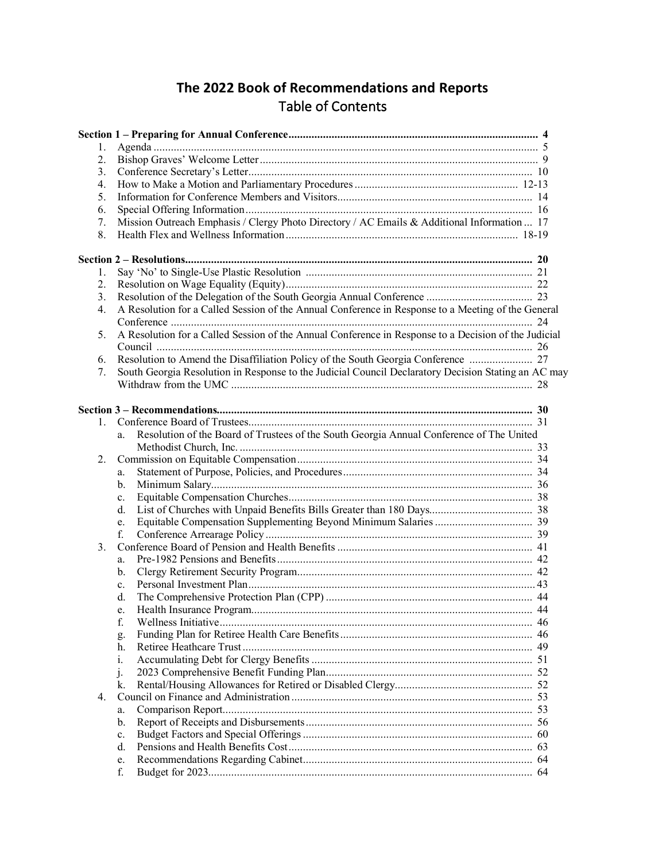## **The 2022 Book of Recommendations and Reports** Table of Contents

| 1.             |                                                                                                      |  |
|----------------|------------------------------------------------------------------------------------------------------|--|
| 2.             |                                                                                                      |  |
| 3.             |                                                                                                      |  |
| 4.             |                                                                                                      |  |
| 5.             |                                                                                                      |  |
| 6.             |                                                                                                      |  |
| 7.             | Mission Outreach Emphasis / Clergy Photo Directory / AC Emails & Additional Information  17          |  |
| 8.             |                                                                                                      |  |
|                |                                                                                                      |  |
| 1.             |                                                                                                      |  |
| 2.             |                                                                                                      |  |
| 3 <sub>1</sub> |                                                                                                      |  |
| 4.             | A Resolution for a Called Session of the Annual Conference in Response to a Meeting of the General   |  |
|                |                                                                                                      |  |
| 5 <sub>1</sub> | A Resolution for a Called Session of the Annual Conference in Response to a Decision of the Judicial |  |
|                |                                                                                                      |  |
| 6.             |                                                                                                      |  |
| 7.             | South Georgia Resolution in Response to the Judicial Council Declaratory Decision Stating an AC may  |  |
|                |                                                                                                      |  |
|                |                                                                                                      |  |
|                |                                                                                                      |  |
| $1_{-}$        |                                                                                                      |  |
|                | Resolution of the Board of Trustees of the South Georgia Annual Conference of The United<br>a.       |  |
|                |                                                                                                      |  |
| 2.             |                                                                                                      |  |
|                | a.                                                                                                   |  |
|                | b.                                                                                                   |  |
|                | c.                                                                                                   |  |
|                | d.                                                                                                   |  |
|                | e.                                                                                                   |  |
|                | f.                                                                                                   |  |
| 3.             |                                                                                                      |  |
|                | a.                                                                                                   |  |
|                | b.                                                                                                   |  |
|                | $\mathbf{c}$ .                                                                                       |  |
|                | d.                                                                                                   |  |
|                | Health Insurance Program<br>e                                                                        |  |
|                | f.                                                                                                   |  |
|                | g.                                                                                                   |  |
|                | h.                                                                                                   |  |
|                | 1.                                                                                                   |  |
|                | 1.                                                                                                   |  |
|                | k.                                                                                                   |  |
| 4.             |                                                                                                      |  |
|                | a.                                                                                                   |  |
|                | b.                                                                                                   |  |
|                | c.                                                                                                   |  |
|                | d.                                                                                                   |  |
|                | e.                                                                                                   |  |
|                | f.                                                                                                   |  |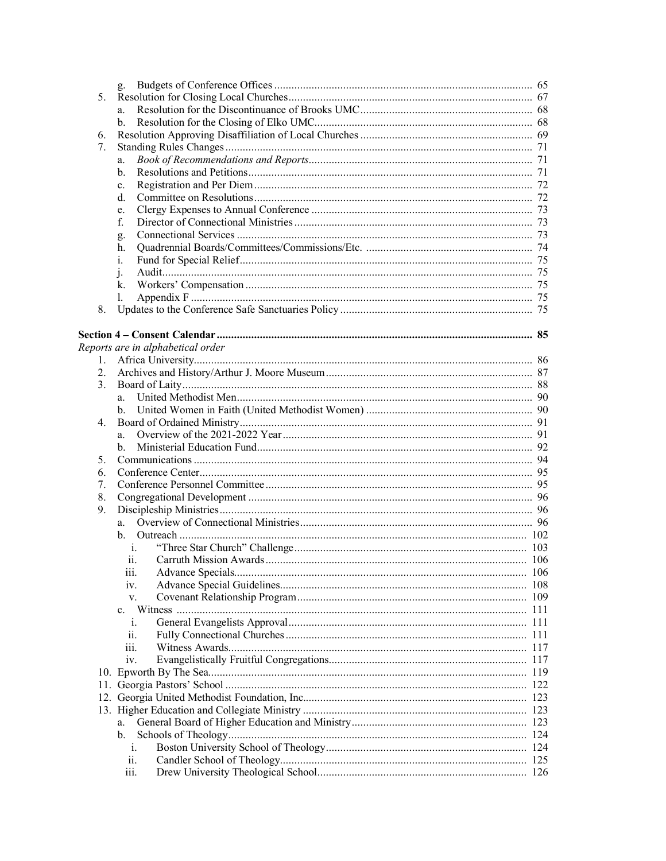|    | g.                                |  |
|----|-----------------------------------|--|
| 5. |                                   |  |
|    | a.                                |  |
|    | b.                                |  |
| 6. |                                   |  |
| 7. |                                   |  |
|    | a.                                |  |
|    | b.                                |  |
|    | c.                                |  |
|    | d.                                |  |
|    | e.                                |  |
|    | f.                                |  |
|    |                                   |  |
|    | g.<br>h.                          |  |
|    | 1.                                |  |
|    | j.                                |  |
|    | k.                                |  |
|    | 1.                                |  |
| 8. |                                   |  |
|    |                                   |  |
|    |                                   |  |
|    | Reports are in alphabetical order |  |
| 1. |                                   |  |
| 2. |                                   |  |
| 3. |                                   |  |
|    | a.                                |  |
|    | b.                                |  |
| 4. |                                   |  |
|    | a.                                |  |
|    | b.                                |  |
| 5. |                                   |  |
| 6. |                                   |  |
| 7. |                                   |  |
| 8. |                                   |  |
|    |                                   |  |
| 9. | a.                                |  |
|    | b.                                |  |
|    |                                   |  |
|    | $\mathbf{1}$ .                    |  |
|    | 11.<br>iii.                       |  |
|    |                                   |  |
|    | 1V.                               |  |
|    | V.                                |  |
|    | $\mathbf{c}$ .                    |  |
|    | 1.                                |  |
|    | 11.                               |  |
|    | iii.                              |  |
|    | iv.                               |  |
|    |                                   |  |
|    |                                   |  |
|    |                                   |  |
|    |                                   |  |
|    | a.                                |  |
|    | b.                                |  |
|    | $\mathbf{i}$ .                    |  |
|    | ii.                               |  |
|    | 111.                              |  |